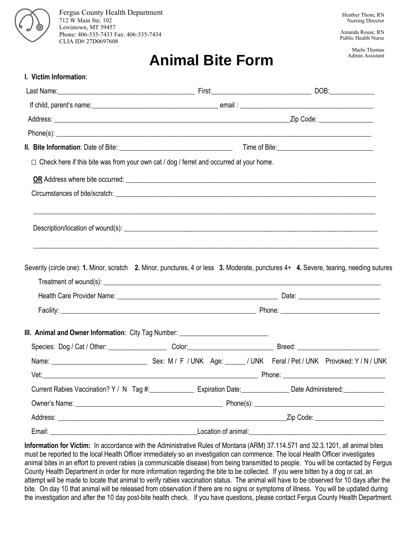

Fergus County Health Department 712 W Main Ste. 102 Lewistown, MT 59457 Phone: 406-535-7433 Fax: 406-535-7434 CLIA ID# 27D0697608

Amanda Rouse, RN Public Health Nurse

## **Animal Bite Form**

Marlo Thomas Admin Assistant

| I. Victim Information:                                                                         |                     |                                                                                                                                       |
|------------------------------------------------------------------------------------------------|---------------------|---------------------------------------------------------------------------------------------------------------------------------------|
|                                                                                                |                     |                                                                                                                                       |
|                                                                                                |                     |                                                                                                                                       |
|                                                                                                |                     |                                                                                                                                       |
|                                                                                                |                     |                                                                                                                                       |
|                                                                                                |                     |                                                                                                                                       |
| $\Box$ Check here if this bite was from your own cat / dog / ferret and occurred at your home. |                     |                                                                                                                                       |
|                                                                                                |                     |                                                                                                                                       |
|                                                                                                |                     |                                                                                                                                       |
|                                                                                                |                     |                                                                                                                                       |
|                                                                                                |                     | Severity (circle one): 1. Minor, scratch 2. Minor, punctures, 4 or less 3. Moderate, punctures 4+ 4. Severe, tearing, needing sutures |
|                                                                                                |                     |                                                                                                                                       |
|                                                                                                |                     |                                                                                                                                       |
|                                                                                                |                     |                                                                                                                                       |
| III. Animal and Owner Information: City Tag Number: ____________________________               |                     |                                                                                                                                       |
|                                                                                                |                     |                                                                                                                                       |
|                                                                                                |                     |                                                                                                                                       |
|                                                                                                |                     |                                                                                                                                       |
|                                                                                                |                     | Current Rabies Vaccination? Y / N Tag #: Expiration Date: Date: Date Administered: Date Administered:                                 |
|                                                                                                |                     |                                                                                                                                       |
|                                                                                                |                     | Zip Code: ______________________                                                                                                      |
|                                                                                                | Location of animal: |                                                                                                                                       |

**Information for Victim:** In accordance with the Administrative Rules of Montana (ARM) 37.114.571 and 32.3.1201, all animal bites must be reported to the local Health Officer immediately so an investigation can commence. The local Health Officer investigates animal bites in an effort to prevent rabies (a communicable disease) from being transmitted to people. You will be contacted by Fergus County Health Department in order for more information regarding the bite to be collected. If you were bitten by a dog or cat, an attempt will be made to locate that animal to verify rabies vaccination status. The animal will have to be observed for 10 days after the bite. On day 10 that animal will be released from observation if there are no signs or symptoms of illness. You will be updated during the investigation and after the 10 day post-bite health check. If you have questions, please contact Fergus County Health Department.